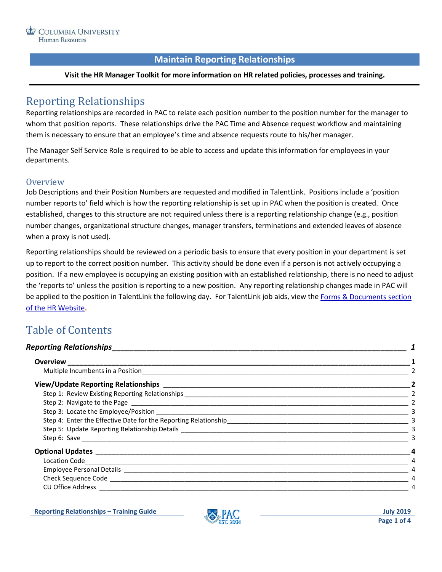# **Maintain Reporting Relationships**

#### **Visit the HR Manager Toolkit for more information on HR related policies, processes and training.**

# <span id="page-0-0"></span>Reporting Relationships

Reporting relationships are recorded in PAC to relate each position number to the position number for the manager to whom that position reports. These relationships drive the PAC Time and Absence request workflow and maintaining them is necessary to ensure that an employee's time and absence requests route to his/her manager.

The Manager Self Service Role is required to be able to access and update this information for employees in your departments.

#### <span id="page-0-1"></span>**Overview**

Job Descriptions and their Position Numbers are requested and modified in TalentLink. Positions include a 'position number reports to' field which is how the reporting relationship is set up in PAC when the position is created. Once established, changes to this structure are not required unless there is a reporting relationship change (e.g., position number changes, organizational structure changes, manager transfers, terminations and extended leaves of absence when a proxy is not used).

Reporting relationships should be reviewed on a periodic basis to ensure that every position in your department is set up to report to the correct position number. This activity should be done even if a person is not actively occupying a position. If a new employee is occupying an existing position with an established relationship, there is no need to adjust the 'reports to' unless the position is reporting to a new position. Any reporting relationship changes made in PAC will be applied to the position in TalentLink the following day. For TalentLink job aids, view the [Forms & Documents](https://humanresources.columbia.edu/content/documents) section [of the HR Website](https://humanresources.columbia.edu/content/documents)**.**

# Table of Contents

### *[Reporting Relationships\\_\\_\\_\\_\\_\\_\\_\\_\\_\\_\\_\\_\\_\\_\\_\\_\\_\\_\\_\\_\\_\\_\\_\\_\\_\\_\\_\\_\\_\\_\\_\\_\\_\\_\\_\\_\\_\\_\\_\\_\\_\\_\\_\\_\\_\\_\\_\\_\\_\\_\\_\\_\\_\\_\\_\\_\\_\\_\\_\\_\\_\\_\\_\\_\\_\\_\\_\\_](#page-0-0) 1* **Overview [\\_\\_\\_\\_\\_\\_\\_\\_\\_\\_\\_\\_\\_\\_\\_\\_\\_\\_\\_\\_\\_\\_\\_\\_\\_\\_\\_\\_\\_\\_\\_\\_\\_\\_\\_\\_\\_\\_\\_\\_\\_\\_\\_\\_\\_\\_\\_\\_\\_\\_\\_\\_\\_\\_\\_\\_\\_\\_\\_\\_\\_\\_\\_\\_\\_\\_\\_\\_\\_\\_\\_\\_\\_\\_\\_\\_\\_\\_\\_\\_\\_\\_\\_\\_\\_\\_](#page-0-1) 1** Multiple Incumbents in a Position and a control of the state of the state of the state of the state of the state of the state of the state of the state of the state of the state of the state of the state of the state of th **View/Update Reporting Relationships [\\_\\_\\_\\_\\_\\_\\_\\_\\_\\_\\_\\_\\_\\_\\_\\_\\_\\_\\_\\_\\_\\_\\_\\_\\_\\_\\_\\_\\_\\_\\_\\_\\_\\_\\_\\_\\_\\_\\_\\_\\_\\_\\_\\_\\_\\_\\_\\_\\_\\_\\_\\_\\_\\_\\_\\_\\_\\_\\_\\_\\_\\_](#page-1-1) 2** Step 1: Review Existing Reporting Relationships [\\_\\_\\_\\_\\_\\_\\_\\_\\_\\_\\_\\_\\_\\_\\_\\_\\_\\_\\_\\_\\_\\_\\_\\_\\_\\_\\_\\_\\_\\_\\_\\_\\_\\_\\_\\_\\_\\_\\_\\_\\_\\_\\_\\_\\_\\_\\_\\_\\_\\_\\_\\_\\_\\_\\_\\_\\_\\_\\_\\_\\_\\_\\_](#page-1-2) 2 Step 2: Navigate to the Page the Case of the Step 2: Navigate to the Page of the Step 2: Navigate to the Page of the Step 2:  $\frac{2}{\sqrt{2}}$ Step 3: Locate the Employee/Position [\\_\\_\\_\\_\\_\\_\\_\\_\\_\\_\\_\\_\\_\\_\\_\\_\\_\\_\\_\\_\\_\\_\\_\\_\\_\\_\\_\\_\\_\\_\\_\\_\\_\\_\\_\\_\\_\\_\\_\\_\\_\\_\\_\\_\\_\\_\\_\\_\\_\\_\\_\\_\\_\\_\\_\\_\\_\\_\\_\\_\\_\\_\\_\\_\\_\\_\\_\\_\\_\\_\\_](#page-2-0) 3 [Step 4: Enter the Effective Date for the Reporting Relationship\\_\\_\\_\\_\\_\\_\\_\\_\\_\\_\\_\\_\\_\\_\\_\\_\\_\\_\\_\\_\\_\\_\\_\\_\\_\\_\\_\\_\\_\\_\\_\\_\\_\\_\\_\\_\\_\\_\\_\\_\\_\\_\\_\\_\\_\\_\\_\\_\\_\\_\\_](#page-2-1) 3 Step 5: Update Reporting Relationship Details **and the set of the set of the set of the set of the set of the set of the set of the set of the set of the set of the set of the set of the set of the set of the set of the se** Step 6: Save  $\overline{\phantom{a}}$  3 **Optional Updates [\\_\\_\\_\\_\\_\\_\\_\\_\\_\\_\\_\\_\\_\\_\\_\\_\\_\\_\\_\\_\\_\\_\\_\\_\\_\\_\\_\\_\\_\\_\\_\\_\\_\\_\\_\\_\\_\\_\\_\\_\\_\\_\\_\\_\\_\\_\\_\\_\\_\\_\\_\\_\\_\\_\\_\\_\\_\\_\\_\\_\\_\\_\\_\\_\\_\\_\\_\\_\\_\\_\\_\\_\\_\\_\\_\\_\\_\\_\\_](#page-3-0) 4** [Location Code\\_\\_\\_\\_\\_\\_\\_\\_\\_\\_\\_\\_\\_\\_\\_\\_\\_\\_\\_\\_\\_\\_\\_\\_\\_\\_\\_\\_\\_\\_\\_\\_\\_\\_\\_\\_\\_\\_\\_\\_\\_\\_\\_\\_\\_\\_\\_\\_\\_\\_\\_\\_\\_\\_\\_\\_\\_\\_\\_\\_\\_\\_\\_\\_\\_\\_\\_\\_\\_\\_\\_\\_\\_\\_\\_\\_\\_\\_\\_\\_\\_\\_\\_\\_\\_\\_\\_\\_\\_\\_\\_](#page-3-1) 4 Employee Personal Details [\\_\\_\\_\\_\\_\\_\\_\\_\\_\\_\\_\\_\\_\\_\\_\\_\\_\\_\\_\\_\\_\\_\\_\\_\\_\\_\\_\\_\\_\\_\\_\\_\\_\\_\\_\\_\\_\\_\\_\\_\\_\\_\\_\\_\\_\\_\\_\\_\\_\\_\\_\\_\\_\\_\\_\\_\\_\\_\\_\\_\\_\\_\\_\\_\\_\\_\\_\\_\\_\\_\\_\\_\\_\\_\\_\\_\\_\\_\\_\\_](#page-3-2) 4 Check Sequence Code  $\overline{a}$ CU Office Address  $\overline{a}$

**Reporting Relationships – Training Guide July 2019**

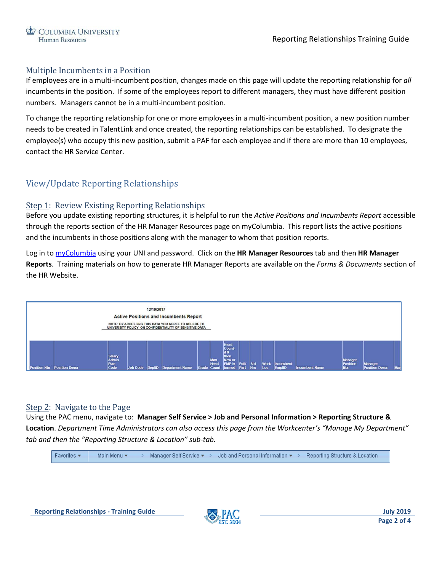## <span id="page-1-0"></span>Multiple Incumbents in a Position

If employees are in a multi-incumbent position, changes made on this page will update the reporting relationship for *all* incumbents in the position. If some of the employees report to different managers, they must have different position numbers. Managers cannot be in a multi-incumbent position.

To change the reporting relationship for one or more employees in a multi-incumbent position, a new position number needs to be created in TalentLink and once created, the reporting relationships can be established. To designate the employee(s) who occupy this new position, submit a PAF for each employee and if there are more than 10 employees, contact the HR Service Center.

# <span id="page-1-1"></span>View/Update Reporting Relationships

## <span id="page-1-2"></span>Step 1: Review Existing Reporting Relationships

Before you update existing reporting structures, it is helpful to run the *Active Positions and Incumbents Report* accessible through the reports section of the HR Manager Resources page on myColumbia. This report lists the active positions and the incumbents in those positions along with the manager to whom that position reports.

Log in to [myColumbia](https://my.columbia.edu/) using your UNI and password. Click on the **HR Manager Resources** tab and then **HR Manager Reports**. Training materials on how to generate HR Manager Reports are available on the *Forms & Documents* section of the HR Website.



## <span id="page-1-3"></span>Step 2: Navigate to the Page

Using the PAC menu, navigate to: **Manager Self Service > Job and Personal Information > Reporting Structure & Location**. *Department Time Administrators can also access this page from the Workcenter's "Manage My Department" tab and then the "Reporting Structure & Location" sub-tab.*

```
Favorites -
     Main Menu -
                      > Manager Self Service \star > Job and Personal Information \star > Reporting Structure & Location
```
**Reporting Relationships - Training Guide July 2019**

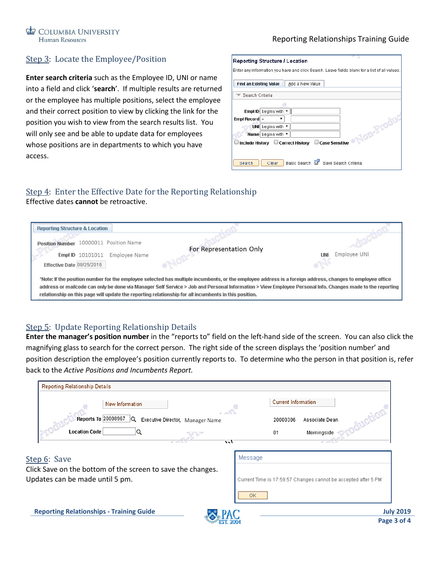#### Reporting Relationships Training Guide

## <span id="page-2-0"></span>Step 3: Locate the Employee/Position

**Enter search criteria** such as the Employee ID, UNI or name into a field and click '**search**'. If multiple results are returned or the employee has multiple positions, select the employee and their correct position to view by clicking the link for the position you wish to view from the search results list. You will only see and be able to update data for employees whose positions are in departments to which you have access.

| <b>Reporting Structure / Location</b>                                                         |  |  |  |
|-----------------------------------------------------------------------------------------------|--|--|--|
| Enter any information you have and click Search. Leave fields blank for a list of all values. |  |  |  |
|                                                                                               |  |  |  |
|                                                                                               |  |  |  |
| <b>Find an Existing Value</b><br>Add a New Value                                              |  |  |  |
|                                                                                               |  |  |  |
| ▼ Search Criteria                                                                             |  |  |  |
|                                                                                               |  |  |  |
|                                                                                               |  |  |  |
| begins with<br>Empl ID                                                                        |  |  |  |
| Empl Record $=$                                                                               |  |  |  |
|                                                                                               |  |  |  |
| begins with ▼<br><b>UNI</b><br>NOTH-PT                                                        |  |  |  |
| Name begins with $\tau$                                                                       |  |  |  |
|                                                                                               |  |  |  |
| Include History □ Correct History<br><b>Case Sensitive</b>                                    |  |  |  |
|                                                                                               |  |  |  |
|                                                                                               |  |  |  |
|                                                                                               |  |  |  |
| Basic Search<br>Save Search Criteria<br>Search<br>Clear                                       |  |  |  |

# <span id="page-2-1"></span>Step 4: Enter the Effective Date for the Reporting Relationship

Effective dates **cannot** be retroactive.

| <b>Reporting Structure &amp; Location</b>                                                                                                                                                                                                                                                                              |                         |                     |  |  |
|------------------------------------------------------------------------------------------------------------------------------------------------------------------------------------------------------------------------------------------------------------------------------------------------------------------------|-------------------------|---------------------|--|--|
| 10000011 Position Name<br><b>Position Number</b>                                                                                                                                                                                                                                                                       |                         |                     |  |  |
|                                                                                                                                                                                                                                                                                                                        | For Representation Only |                     |  |  |
| <b>Empl ID</b> 10101011<br>Employee Name                                                                                                                                                                                                                                                                               |                         | Employee UNI<br>UNI |  |  |
| Effective Date 08/25/2016                                                                                                                                                                                                                                                                                              |                         | $\mathcal{L}$       |  |  |
| *Note: If the position number for the employee selected has multiple incumbents, or the employee address is a foreign address, changes to employee office<br>address or mailcode can only be done via Manager Self Service > Job and Personal Information > View Employee Personal Info. Changes made to the reporting |                         |                     |  |  |
| relationship on this page will update the reporting relationship for all incumbents in this position.                                                                                                                                                                                                                  |                         |                     |  |  |

# <span id="page-2-2"></span>Step 5: Update Reporting Relationship Details

**Enter the manager's position number** in the "reports to" field on the left-hand side of the screen. You can also click the magnifying glass to search for the correct person. The right side of the screen displays the 'position number' and position description the employee's position currently reports to. To determine who the person in that position is, refer back to the *Active Positions and Incumbents Report.*

<span id="page-2-3"></span>

| New Information<br>$-3014$                                                                     | <b>Current Information</b>                                      |
|------------------------------------------------------------------------------------------------|-----------------------------------------------------------------|
| Reports To 20008967<br>lQ.<br>Executive Director, Manager Name                                 | Associate Dean<br>20000306                                      |
| <b>Location Code</b><br>いい                                                                     | Morningside<br>01                                               |
| Step 6: Save                                                                                   | Message                                                         |
| Click Save on the bottom of the screen to save the changes.<br>Updates can be made until 5 pm. | Current Time is 17:59:57 Changes cannot be accepted after 5 PM. |
|                                                                                                | 0K                                                              |
|                                                                                                |                                                                 |